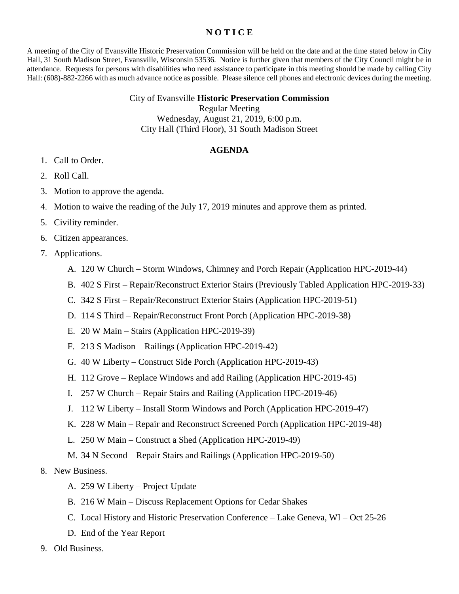## **N O T I C E**

A meeting of the City of Evansville Historic Preservation Commission will be held on the date and at the time stated below in City Hall, 31 South Madison Street, Evansville, Wisconsin 53536. Notice is further given that members of the City Council might be in attendance. Requests for persons with disabilities who need assistance to participate in this meeting should be made by calling City Hall: (608)-882-2266 with as much advance notice as possible. Please silence cell phones and electronic devices during the meeting.

## City of Evansville **Historic Preservation Commission**

Regular Meeting

Wednesday, August 21, 2019, 6:00 p.m. City Hall (Third Floor), 31 South Madison Street

## **AGENDA**

- 1. Call to Order.
- 2. Roll Call.
- 3. Motion to approve the agenda.
- 4. Motion to waive the reading of the July 17, 2019 minutes and approve them as printed.
- 5. Civility reminder.
- 6. Citizen appearances.
- 7. Applications.
	- A. 120 W Church Storm Windows, Chimney and Porch Repair (Application HPC-2019-44)
	- B. 402 S First Repair/Reconstruct Exterior Stairs (Previously Tabled Application HPC-2019-33)
	- C. 342 S First Repair/Reconstruct Exterior Stairs (Application HPC-2019-51)
	- D. 114 S Third Repair/Reconstruct Front Porch (Application HPC-2019-38)
	- E. 20 W Main Stairs (Application HPC-2019-39)
	- F. 213 S Madison Railings (Application HPC-2019-42)
	- G. 40 W Liberty Construct Side Porch (Application HPC-2019-43)
	- H. 112 Grove Replace Windows and add Railing (Application HPC-2019-45)
	- I. 257 W Church Repair Stairs and Railing (Application HPC-2019-46)
	- J. 112 W Liberty Install Storm Windows and Porch (Application HPC-2019-47)
	- K. 228 W Main Repair and Reconstruct Screened Porch (Application HPC-2019-48)
	- L. 250 W Main Construct a Shed (Application HPC-2019-49)
	- M. 34 N Second Repair Stairs and Railings (Application HPC-2019-50)
- 8. New Business.
	- A. 259 W Liberty Project Update
	- B. 216 W Main Discuss Replacement Options for Cedar Shakes
	- C. Local History and Historic Preservation Conference Lake Geneva, WI Oct 25-26
	- D. End of the Year Report
- 9. Old Business.